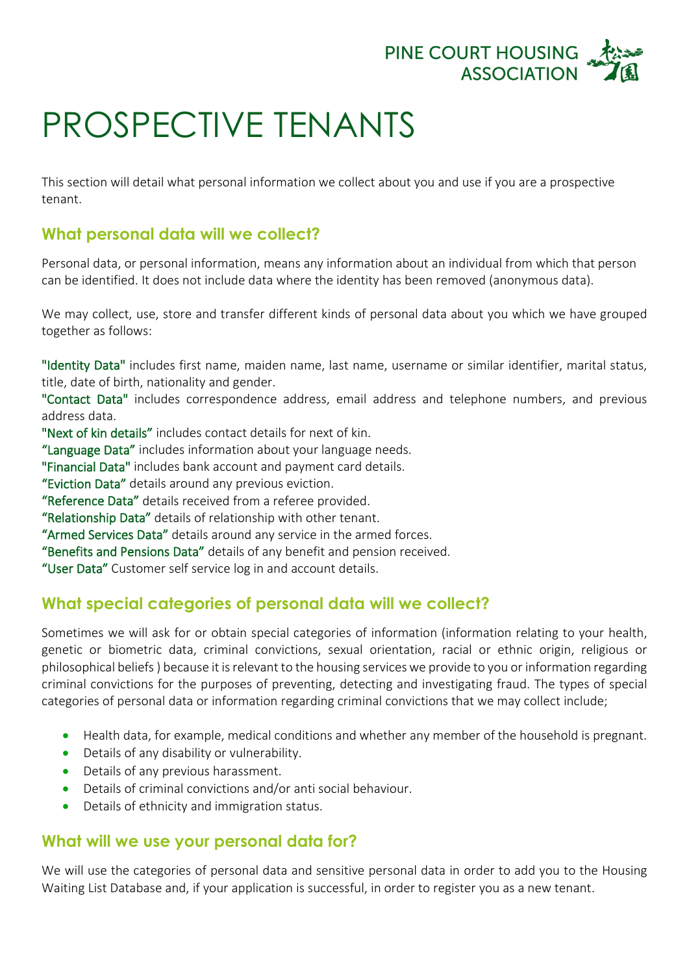

## PROSPECTIVE TENANTS

This section will detail what personal information we collect about you and use if you are a prospective tenant.

## **What personal data will we collect?**

Personal data, or personal information, means any information about an individual from which that person can be identified. It does not include data where the identity has been removed (anonymous data).

We may collect, use, store and transfer different kinds of personal data about you which we have grouped together as follows:

"Identity Data" includes first name, maiden name, last name, username or similar identifier, marital status, title, date of birth, nationality and gender.

"Contact Data" includes correspondence address, email address and telephone numbers, and previous address data.

"Next of kin details" includes contact details for next of kin.

"Language Data" includes information about your language needs.

"Financial Data" includes bank account and payment card details.

"Eviction Data" details around any previous eviction.

"Reference Data" details received from a referee provided.

"Relationship Data" details of relationship with other tenant.

"Armed Services Data" details around any service in the armed forces.

"Benefits and Pensions Data" details of any benefit and pension received.

"User Data" Customer self service log in and account details.

## **What special categories of personal data will we collect?**

Sometimes we will ask for or obtain special categories of information (information relating to your health, genetic or biometric data, criminal convictions, sexual orientation, racial or ethnic origin, religious or philosophical beliefs ) because it is relevant to the housing services we provide to you or information regarding criminal convictions for the purposes of preventing, detecting and investigating fraud. The types of special categories of personal data or information regarding criminal convictions that we may collect include;

- Health data, for example, medical conditions and whether any member of the household is pregnant.
- Details of any disability or vulnerability.
- Details of any previous harassment.
- Details of criminal convictions and/or anti social behaviour.
- Details of ethnicity and immigration status.

## **What will we use your personal data for?**

We will use the categories of personal data and sensitive personal data in order to add you to the Housing Waiting List Database and, if your application is successful, in order to register you as a new tenant.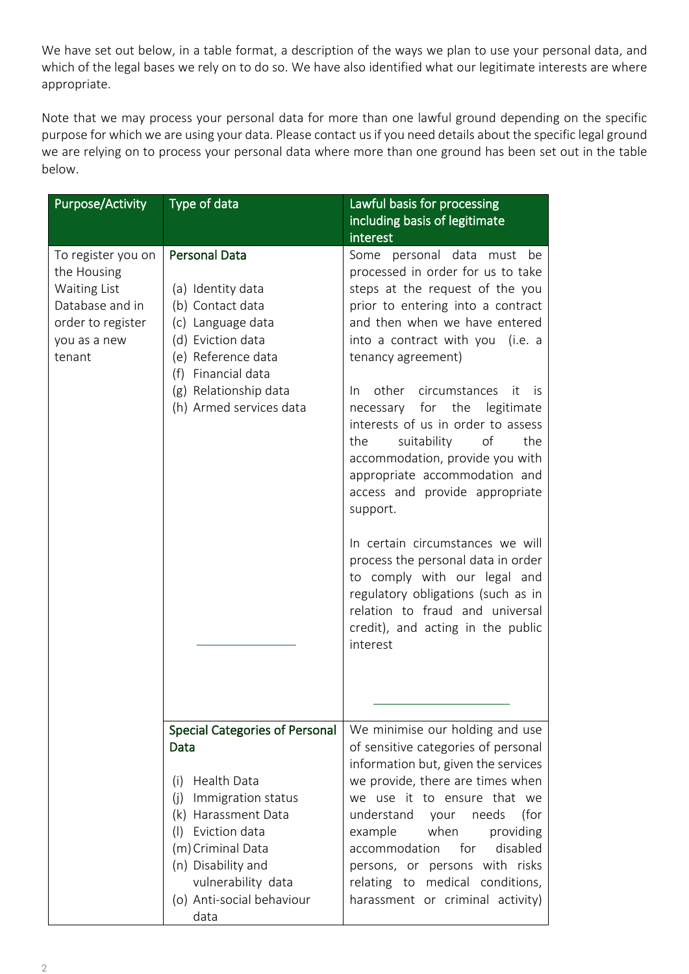We have set out below, in a table format, a description of the ways we plan to use your personal data, and which of the legal bases we rely on to do so. We have also identified what our legitimate interests are where appropriate.

Note that we may process your personal data for more than one lawful ground depending on the specific purpose for which we are using your data. Please contact us if you need details about the specific legal ground we are relying on to process your personal data where more than one ground has been set out in the table below.

| <b>Purpose/Activity</b>                                                                                             | Type of data                                                                                                                                                                                               | Lawful basis for processing                                                                                                                                                                                                                                                                                                                                                                                                                                                                                                                      |
|---------------------------------------------------------------------------------------------------------------------|------------------------------------------------------------------------------------------------------------------------------------------------------------------------------------------------------------|--------------------------------------------------------------------------------------------------------------------------------------------------------------------------------------------------------------------------------------------------------------------------------------------------------------------------------------------------------------------------------------------------------------------------------------------------------------------------------------------------------------------------------------------------|
|                                                                                                                     |                                                                                                                                                                                                            | including basis of legitimate                                                                                                                                                                                                                                                                                                                                                                                                                                                                                                                    |
|                                                                                                                     |                                                                                                                                                                                                            | interest                                                                                                                                                                                                                                                                                                                                                                                                                                                                                                                                         |
| To register you on<br>the Housing<br>Waiting List<br>Database and in<br>order to register<br>you as a new<br>tenant | <b>Personal Data</b><br>(a) Identity data<br>(b) Contact data<br>(c) Language data<br>(d) Eviction data<br>(e) Reference data<br>Financial data<br>(f)<br>(g) Relationship data<br>(h) Armed services data | Some personal data must be<br>processed in order for us to take<br>steps at the request of the you<br>prior to entering into a contract<br>and then when we have entered<br>into a contract with you (i.e. a<br>tenancy agreement)<br>other circumstances<br>In In<br>- it<br>is.<br>necessary for the legitimate<br>interests of us in order to assess<br>suitability<br>of<br>the<br>the<br>accommodation, provide you with<br>appropriate accommodation and<br>access and provide appropriate<br>support.<br>In certain circumstances we will |
|                                                                                                                     |                                                                                                                                                                                                            | process the personal data in order<br>to comply with our legal and<br>regulatory obligations (such as in<br>relation to fraud and universal<br>credit), and acting in the public<br>interest                                                                                                                                                                                                                                                                                                                                                     |
|                                                                                                                     | <b>Special Categories of Personal</b>                                                                                                                                                                      | We minimise our holding and use                                                                                                                                                                                                                                                                                                                                                                                                                                                                                                                  |
|                                                                                                                     | Data<br>Health Data<br>(i)                                                                                                                                                                                 | of sensitive categories of personal<br>information but, given the services<br>we provide, there are times when                                                                                                                                                                                                                                                                                                                                                                                                                                   |
|                                                                                                                     | Immigration status<br>(i)                                                                                                                                                                                  | we use it to ensure that we                                                                                                                                                                                                                                                                                                                                                                                                                                                                                                                      |
|                                                                                                                     | Harassment Data<br>(k)                                                                                                                                                                                     | understand<br>needs<br>(for<br>your                                                                                                                                                                                                                                                                                                                                                                                                                                                                                                              |
|                                                                                                                     | Eviction data<br>$(\dagger)$<br>(m) Criminal Data                                                                                                                                                          | when<br>example<br>providing<br>disabled<br>accommodation<br>for                                                                                                                                                                                                                                                                                                                                                                                                                                                                                 |
|                                                                                                                     | (n) Disability and                                                                                                                                                                                         | persons, or persons with risks                                                                                                                                                                                                                                                                                                                                                                                                                                                                                                                   |
|                                                                                                                     | vulnerability data                                                                                                                                                                                         | relating to medical conditions,                                                                                                                                                                                                                                                                                                                                                                                                                                                                                                                  |
|                                                                                                                     | (o) Anti-social behaviour<br>data                                                                                                                                                                          | harassment or criminal activity)                                                                                                                                                                                                                                                                                                                                                                                                                                                                                                                 |